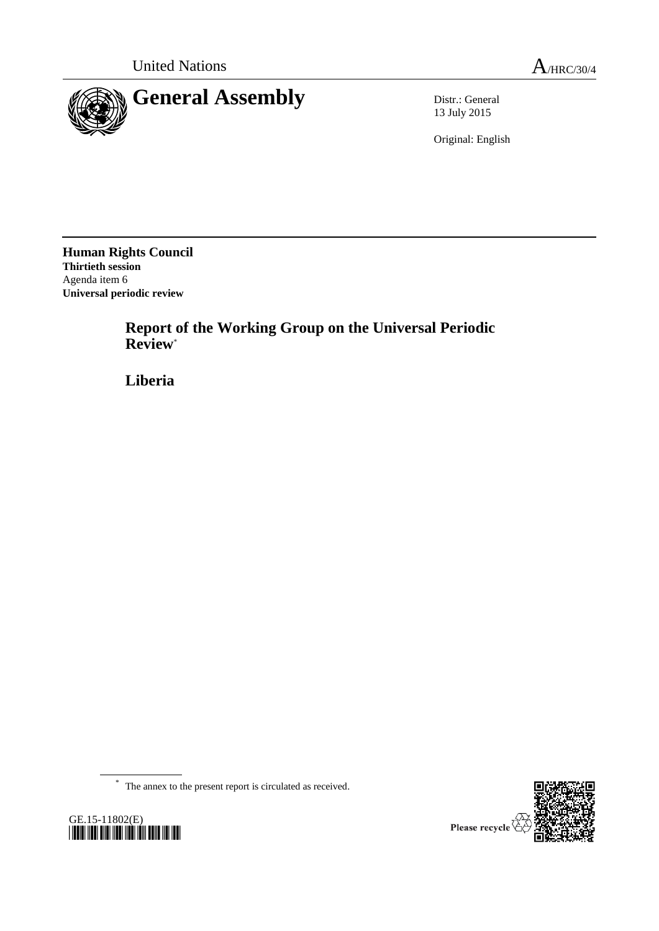



13 July 2015

Original: English

**Human Rights Council Thirtieth session** Agenda item 6 **Universal periodic review**

> **Report of the Working Group on the Universal Periodic Review**\*

**Liberia**

\* The annex to the present report is circulated as received.



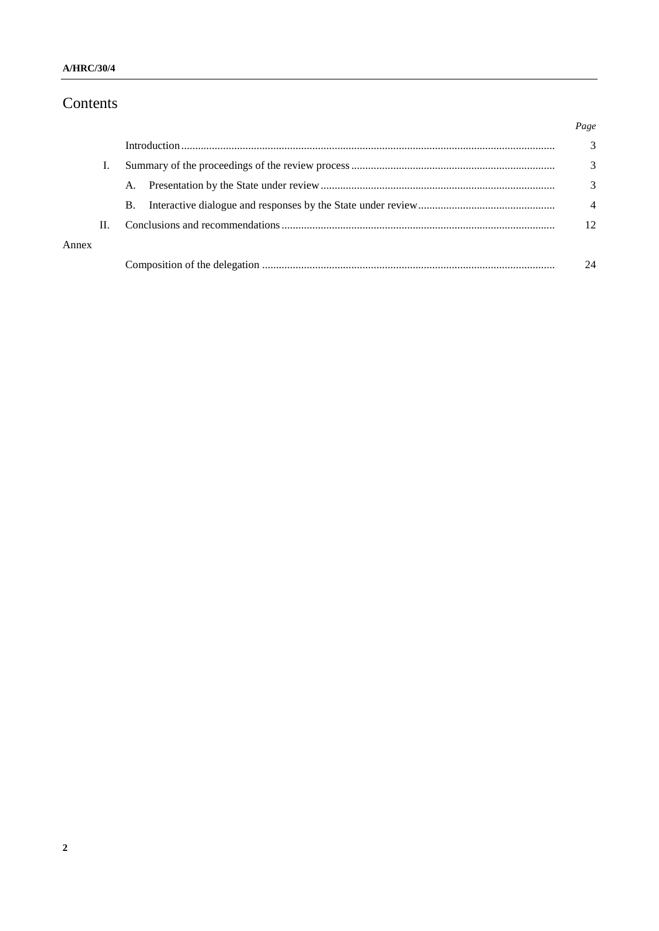## Contents

|       |    |    |  | Page            |
|-------|----|----|--|-----------------|
|       |    |    |  | 3               |
|       |    |    |  | 3               |
|       |    | A. |  | 3               |
|       |    | B. |  | $\overline{4}$  |
|       | П. |    |  | 12 <sup>2</sup> |
| Annex |    |    |  |                 |
|       |    |    |  | 24              |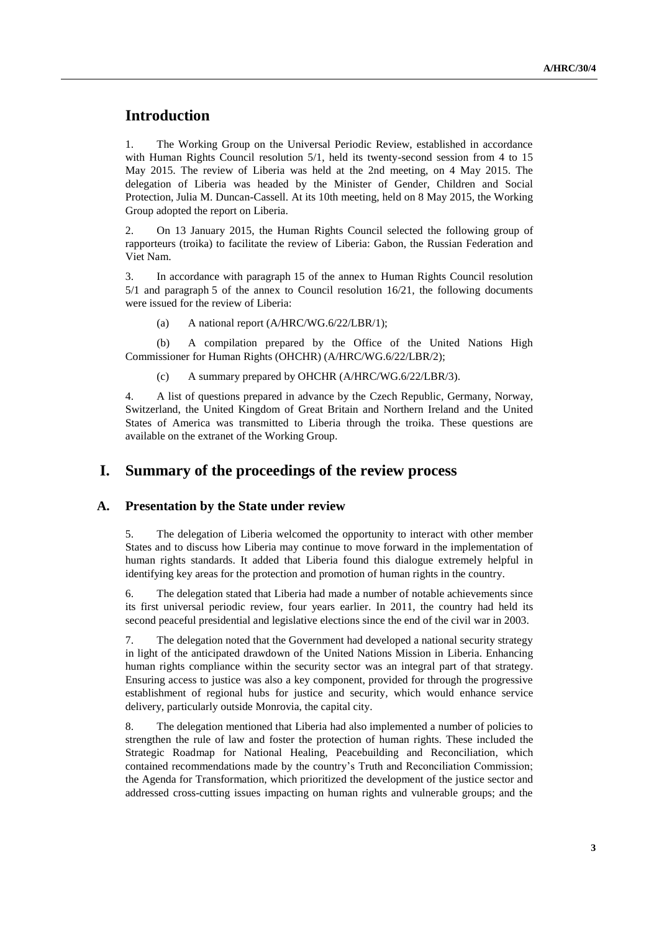## **Introduction**

1. The Working Group on the Universal Periodic Review, established in accordance with Human Rights Council resolution 5/1, held its twenty-second session from 4 to 15 May 2015. The review of Liberia was held at the 2nd meeting, on 4 May 2015. The delegation of Liberia was headed by the Minister of Gender, Children and Social Protection, Julia M. Duncan-Cassell. At its 10th meeting, held on 8 May 2015, the Working Group adopted the report on Liberia.

2. On 13 January 2015, the Human Rights Council selected the following group of rapporteurs (troika) to facilitate the review of Liberia: Gabon, the Russian Federation and Viet Nam.

3. In accordance with paragraph 15 of the annex to Human Rights Council resolution 5/1 and paragraph 5 of the annex to Council resolution 16/21, the following documents were issued for the review of Liberia:

(a) A national report (A/HRC/WG.6/22/LBR/1);

(b) A compilation prepared by the Office of the United Nations High Commissioner for Human Rights (OHCHR) (A/HRC/WG.6/22/LBR/2);

(c) A summary prepared by OHCHR (A/HRC/WG.6/22/LBR/3).

4. A list of questions prepared in advance by the Czech Republic, Germany, Norway, Switzerland, the United Kingdom of Great Britain and Northern Ireland and the United States of America was transmitted to Liberia through the troika. These questions are available on the extranet of the Working Group.

### **I. Summary of the proceedings of the review process**

#### **A. Presentation by the State under review**

5. The delegation of Liberia welcomed the opportunity to interact with other member States and to discuss how Liberia may continue to move forward in the implementation of human rights standards. It added that Liberia found this dialogue extremely helpful in identifying key areas for the protection and promotion of human rights in the country.

6. The delegation stated that Liberia had made a number of notable achievements since its first universal periodic review, four years earlier. In 2011, the country had held its second peaceful presidential and legislative elections since the end of the civil war in 2003.

7. The delegation noted that the Government had developed a national security strategy in light of the anticipated drawdown of the United Nations Mission in Liberia. Enhancing human rights compliance within the security sector was an integral part of that strategy. Ensuring access to justice was also a key component, provided for through the progressive establishment of regional hubs for justice and security, which would enhance service delivery, particularly outside Monrovia, the capital city.

8. The delegation mentioned that Liberia had also implemented a number of policies to strengthen the rule of law and foster the protection of human rights. These included the Strategic Roadmap for National Healing, Peacebuilding and Reconciliation, which contained recommendations made by the country's Truth and Reconciliation Commission; the Agenda for Transformation, which prioritized the development of the justice sector and addressed cross-cutting issues impacting on human rights and vulnerable groups; and the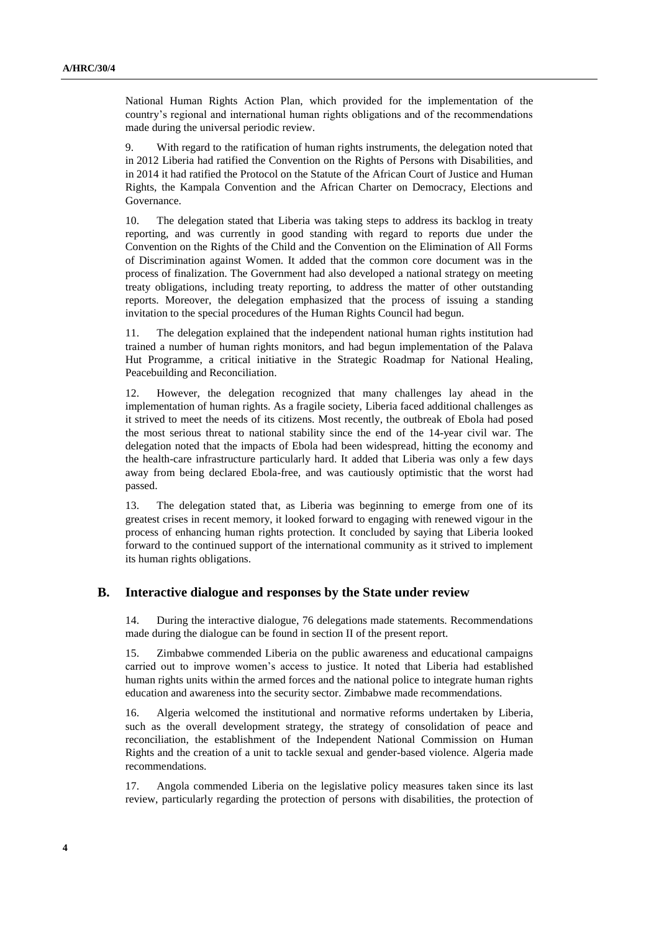National Human Rights Action Plan, which provided for the implementation of the country's regional and international human rights obligations and of the recommendations made during the universal periodic review.

9. With regard to the ratification of human rights instruments, the delegation noted that in 2012 Liberia had ratified the Convention on the Rights of Persons with Disabilities, and in 2014 it had ratified the Protocol on the Statute of the African Court of Justice and Human Rights, the Kampala Convention and the African Charter on Democracy, Elections and Governance.

10. The delegation stated that Liberia was taking steps to address its backlog in treaty reporting, and was currently in good standing with regard to reports due under the Convention on the Rights of the Child and the Convention on the Elimination of All Forms of Discrimination against Women. It added that the common core document was in the process of finalization. The Government had also developed a national strategy on meeting treaty obligations, including treaty reporting, to address the matter of other outstanding reports. Moreover, the delegation emphasized that the process of issuing a standing invitation to the special procedures of the Human Rights Council had begun.

11. The delegation explained that the independent national human rights institution had trained a number of human rights monitors, and had begun implementation of the Palava Hut Programme, a critical initiative in the Strategic Roadmap for National Healing, Peacebuilding and Reconciliation.

12. However, the delegation recognized that many challenges lay ahead in the implementation of human rights. As a fragile society, Liberia faced additional challenges as it strived to meet the needs of its citizens. Most recently, the outbreak of Ebola had posed the most serious threat to national stability since the end of the 14-year civil war. The delegation noted that the impacts of Ebola had been widespread, hitting the economy and the health-care infrastructure particularly hard. It added that Liberia was only a few days away from being declared Ebola-free, and was cautiously optimistic that the worst had passed.

13. The delegation stated that, as Liberia was beginning to emerge from one of its greatest crises in recent memory, it looked forward to engaging with renewed vigour in the process of enhancing human rights protection. It concluded by saying that Liberia looked forward to the continued support of the international community as it strived to implement its human rights obligations.

#### **B. Interactive dialogue and responses by the State under review**

14. During the interactive dialogue, 76 delegations made statements. Recommendations made during the dialogue can be found in section II of the present report.

15. Zimbabwe commended Liberia on the public awareness and educational campaigns carried out to improve women's access to justice. It noted that Liberia had established human rights units within the armed forces and the national police to integrate human rights education and awareness into the security sector. Zimbabwe made recommendations.

16. Algeria welcomed the institutional and normative reforms undertaken by Liberia, such as the overall development strategy, the strategy of consolidation of peace and reconciliation, the establishment of the Independent National Commission on Human Rights and the creation of a unit to tackle sexual and gender-based violence. Algeria made recommendations.

17. Angola commended Liberia on the legislative policy measures taken since its last review, particularly regarding the protection of persons with disabilities, the protection of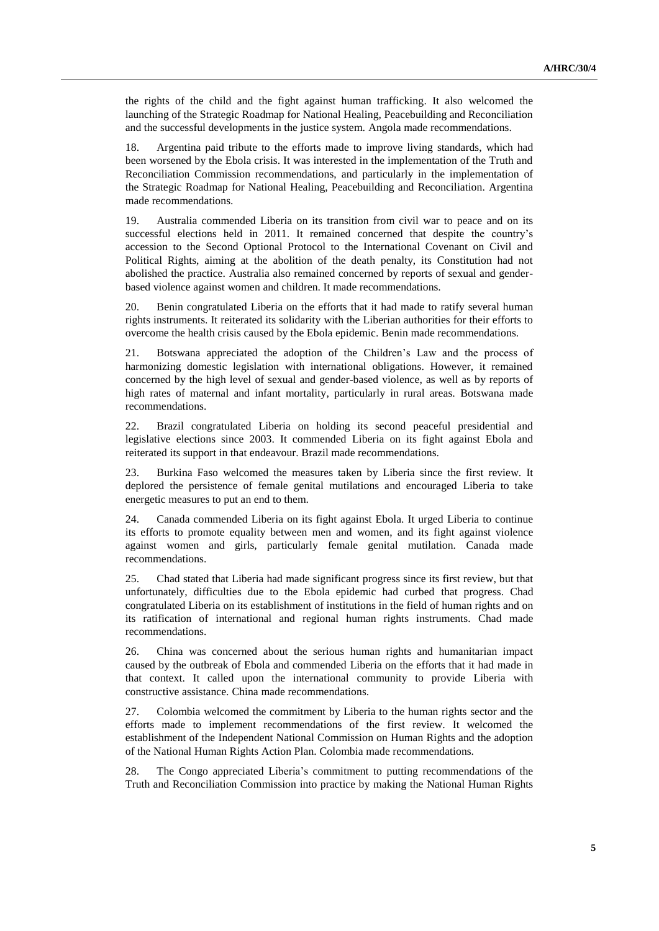the rights of the child and the fight against human trafficking. It also welcomed the launching of the Strategic Roadmap for National Healing, Peacebuilding and Reconciliation and the successful developments in the justice system. Angola made recommendations.

18. Argentina paid tribute to the efforts made to improve living standards, which had been worsened by the Ebola crisis. It was interested in the implementation of the Truth and Reconciliation Commission recommendations, and particularly in the implementation of the Strategic Roadmap for National Healing, Peacebuilding and Reconciliation. Argentina made recommendations.

19. Australia commended Liberia on its transition from civil war to peace and on its successful elections held in 2011. It remained concerned that despite the country's accession to the Second Optional Protocol to the International Covenant on Civil and Political Rights, aiming at the abolition of the death penalty, its Constitution had not abolished the practice. Australia also remained concerned by reports of sexual and genderbased violence against women and children. It made recommendations.

20. Benin congratulated Liberia on the efforts that it had made to ratify several human rights instruments. It reiterated its solidarity with the Liberian authorities for their efforts to overcome the health crisis caused by the Ebola epidemic. Benin made recommendations.

21. Botswana appreciated the adoption of the Children's Law and the process of harmonizing domestic legislation with international obligations. However, it remained concerned by the high level of sexual and gender-based violence, as well as by reports of high rates of maternal and infant mortality, particularly in rural areas. Botswana made recommendations.

22. Brazil congratulated Liberia on holding its second peaceful presidential and legislative elections since 2003. It commended Liberia on its fight against Ebola and reiterated its support in that endeavour. Brazil made recommendations.

23. Burkina Faso welcomed the measures taken by Liberia since the first review. It deplored the persistence of female genital mutilations and encouraged Liberia to take energetic measures to put an end to them.

24. Canada commended Liberia on its fight against Ebola. It urged Liberia to continue its efforts to promote equality between men and women, and its fight against violence against women and girls, particularly female genital mutilation. Canada made recommendations.

25. Chad stated that Liberia had made significant progress since its first review, but that unfortunately, difficulties due to the Ebola epidemic had curbed that progress. Chad congratulated Liberia on its establishment of institutions in the field of human rights and on its ratification of international and regional human rights instruments. Chad made recommendations.

26. China was concerned about the serious human rights and humanitarian impact caused by the outbreak of Ebola and commended Liberia on the efforts that it had made in that context. It called upon the international community to provide Liberia with constructive assistance. China made recommendations.

27. Colombia welcomed the commitment by Liberia to the human rights sector and the efforts made to implement recommendations of the first review. It welcomed the establishment of the Independent National Commission on Human Rights and the adoption of the National Human Rights Action Plan. Colombia made recommendations.

28. The Congo appreciated Liberia's commitment to putting recommendations of the Truth and Reconciliation Commission into practice by making the National Human Rights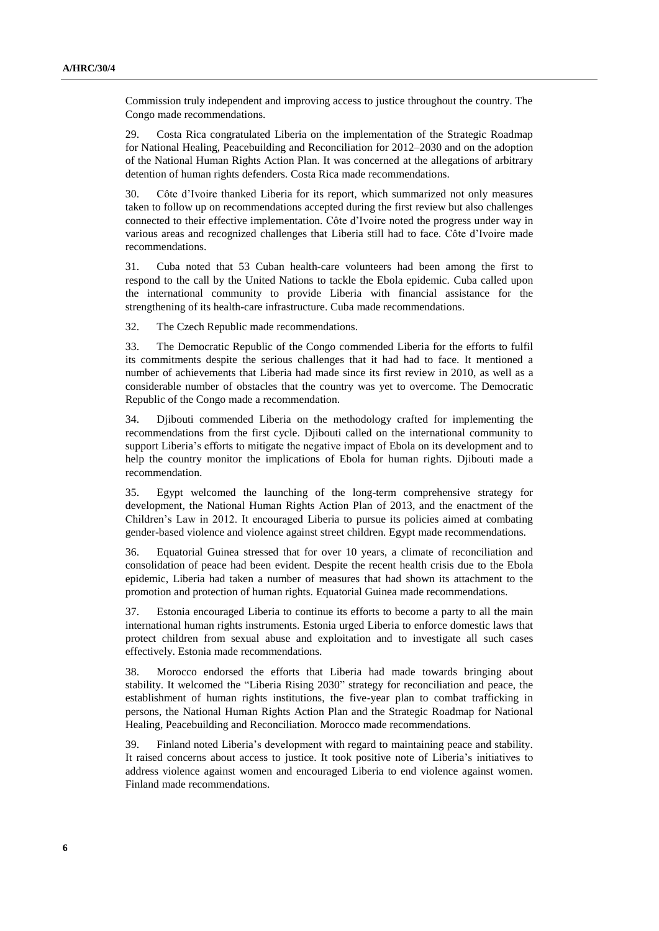Commission truly independent and improving access to justice throughout the country. The Congo made recommendations.

29. Costa Rica congratulated Liberia on the implementation of the Strategic Roadmap for National Healing, Peacebuilding and Reconciliation for 2012–2030 and on the adoption of the National Human Rights Action Plan. It was concerned at the allegations of arbitrary detention of human rights defenders. Costa Rica made recommendations.

30. Côte d'Ivoire thanked Liberia for its report, which summarized not only measures taken to follow up on recommendations accepted during the first review but also challenges connected to their effective implementation. Côte d'Ivoire noted the progress under way in various areas and recognized challenges that Liberia still had to face. Côte d'Ivoire made recommendations.

31. Cuba noted that 53 Cuban health-care volunteers had been among the first to respond to the call by the United Nations to tackle the Ebola epidemic. Cuba called upon the international community to provide Liberia with financial assistance for the strengthening of its health-care infrastructure. Cuba made recommendations.

32. The Czech Republic made recommendations.

33. The Democratic Republic of the Congo commended Liberia for the efforts to fulfil its commitments despite the serious challenges that it had had to face. It mentioned a number of achievements that Liberia had made since its first review in 2010, as well as a considerable number of obstacles that the country was yet to overcome. The Democratic Republic of the Congo made a recommendation.

34. Djibouti commended Liberia on the methodology crafted for implementing the recommendations from the first cycle. Djibouti called on the international community to support Liberia's efforts to mitigate the negative impact of Ebola on its development and to help the country monitor the implications of Ebola for human rights. Djibouti made a recommendation.

35. Egypt welcomed the launching of the long-term comprehensive strategy for development, the National Human Rights Action Plan of 2013, and the enactment of the Children's Law in 2012. It encouraged Liberia to pursue its policies aimed at combating gender-based violence and violence against street children. Egypt made recommendations.

36. Equatorial Guinea stressed that for over 10 years, a climate of reconciliation and consolidation of peace had been evident. Despite the recent health crisis due to the Ebola epidemic, Liberia had taken a number of measures that had shown its attachment to the promotion and protection of human rights. Equatorial Guinea made recommendations.

37. Estonia encouraged Liberia to continue its efforts to become a party to all the main international human rights instruments. Estonia urged Liberia to enforce domestic laws that protect children from sexual abuse and exploitation and to investigate all such cases effectively. Estonia made recommendations.

38. Morocco endorsed the efforts that Liberia had made towards bringing about stability. It welcomed the "Liberia Rising 2030" strategy for reconciliation and peace, the establishment of human rights institutions, the five-year plan to combat trafficking in persons, the National Human Rights Action Plan and the Strategic Roadmap for National Healing, Peacebuilding and Reconciliation. Morocco made recommendations.

39. Finland noted Liberia's development with regard to maintaining peace and stability. It raised concerns about access to justice. It took positive note of Liberia's initiatives to address violence against women and encouraged Liberia to end violence against women. Finland made recommendations.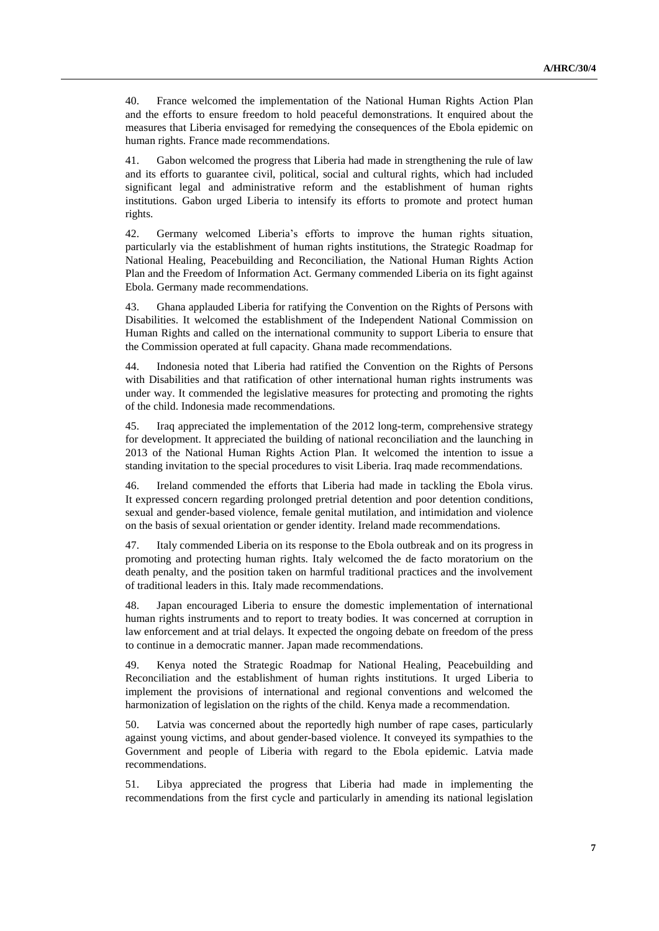40. France welcomed the implementation of the National Human Rights Action Plan and the efforts to ensure freedom to hold peaceful demonstrations. It enquired about the measures that Liberia envisaged for remedying the consequences of the Ebola epidemic on human rights. France made recommendations.

41. Gabon welcomed the progress that Liberia had made in strengthening the rule of law and its efforts to guarantee civil, political, social and cultural rights, which had included significant legal and administrative reform and the establishment of human rights institutions. Gabon urged Liberia to intensify its efforts to promote and protect human rights.

42. Germany welcomed Liberia's efforts to improve the human rights situation, particularly via the establishment of human rights institutions, the Strategic Roadmap for National Healing, Peacebuilding and Reconciliation, the National Human Rights Action Plan and the Freedom of Information Act. Germany commended Liberia on its fight against Ebola. Germany made recommendations.

43. Ghana applauded Liberia for ratifying the Convention on the Rights of Persons with Disabilities. It welcomed the establishment of the Independent National Commission on Human Rights and called on the international community to support Liberia to ensure that the Commission operated at full capacity. Ghana made recommendations.

44. Indonesia noted that Liberia had ratified the Convention on the Rights of Persons with Disabilities and that ratification of other international human rights instruments was under way. It commended the legislative measures for protecting and promoting the rights of the child. Indonesia made recommendations.

45. Iraq appreciated the implementation of the 2012 long-term, comprehensive strategy for development. It appreciated the building of national reconciliation and the launching in 2013 of the National Human Rights Action Plan. It welcomed the intention to issue a standing invitation to the special procedures to visit Liberia. Iraq made recommendations.

46. Ireland commended the efforts that Liberia had made in tackling the Ebola virus. It expressed concern regarding prolonged pretrial detention and poor detention conditions, sexual and gender-based violence, female genital mutilation, and intimidation and violence on the basis of sexual orientation or gender identity. Ireland made recommendations.

47. Italy commended Liberia on its response to the Ebola outbreak and on its progress in promoting and protecting human rights. Italy welcomed the de facto moratorium on the death penalty, and the position taken on harmful traditional practices and the involvement of traditional leaders in this. Italy made recommendations.

48. Japan encouraged Liberia to ensure the domestic implementation of international human rights instruments and to report to treaty bodies. It was concerned at corruption in law enforcement and at trial delays. It expected the ongoing debate on freedom of the press to continue in a democratic manner. Japan made recommendations.

49. Kenya noted the Strategic Roadmap for National Healing, Peacebuilding and Reconciliation and the establishment of human rights institutions. It urged Liberia to implement the provisions of international and regional conventions and welcomed the harmonization of legislation on the rights of the child. Kenya made a recommendation.

50. Latvia was concerned about the reportedly high number of rape cases, particularly against young victims, and about gender-based violence. It conveyed its sympathies to the Government and people of Liberia with regard to the Ebola epidemic. Latvia made recommendations.

51. Libya appreciated the progress that Liberia had made in implementing the recommendations from the first cycle and particularly in amending its national legislation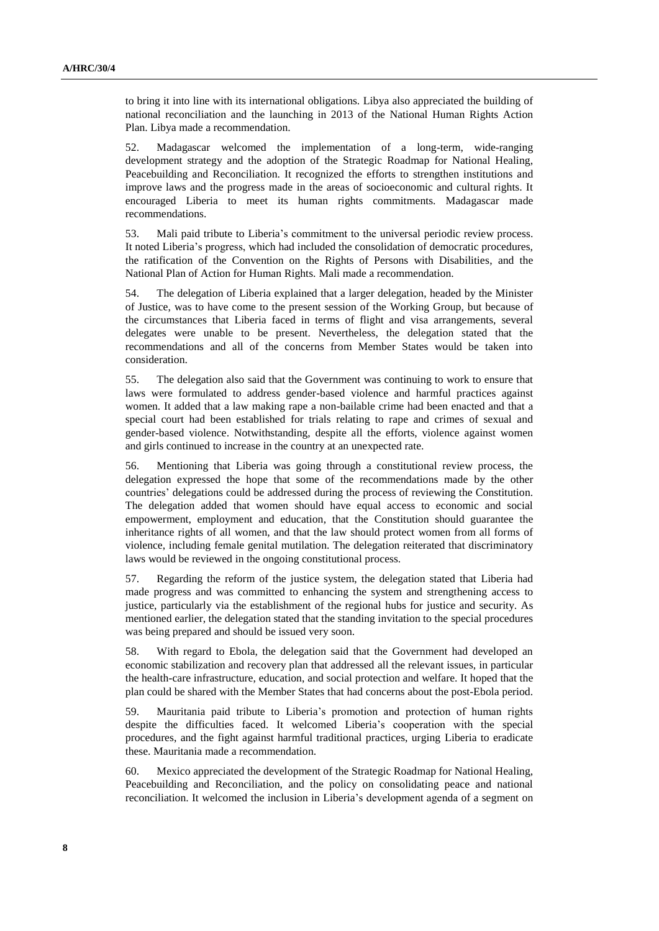to bring it into line with its international obligations. Libya also appreciated the building of national reconciliation and the launching in 2013 of the National Human Rights Action Plan. Libya made a recommendation.

52. Madagascar welcomed the implementation of a long-term, wide-ranging development strategy and the adoption of the Strategic Roadmap for National Healing, Peacebuilding and Reconciliation. It recognized the efforts to strengthen institutions and improve laws and the progress made in the areas of socioeconomic and cultural rights. It encouraged Liberia to meet its human rights commitments. Madagascar made recommendations.

53. Mali paid tribute to Liberia's commitment to the universal periodic review process. It noted Liberia's progress, which had included the consolidation of democratic procedures, the ratification of the Convention on the Rights of Persons with Disabilities, and the National Plan of Action for Human Rights. Mali made a recommendation.

54. The delegation of Liberia explained that a larger delegation, headed by the Minister of Justice, was to have come to the present session of the Working Group, but because of the circumstances that Liberia faced in terms of flight and visa arrangements, several delegates were unable to be present. Nevertheless, the delegation stated that the recommendations and all of the concerns from Member States would be taken into consideration.

55. The delegation also said that the Government was continuing to work to ensure that laws were formulated to address gender-based violence and harmful practices against women. It added that a law making rape a non-bailable crime had been enacted and that a special court had been established for trials relating to rape and crimes of sexual and gender-based violence. Notwithstanding, despite all the efforts, violence against women and girls continued to increase in the country at an unexpected rate.

56. Mentioning that Liberia was going through a constitutional review process, the delegation expressed the hope that some of the recommendations made by the other countries' delegations could be addressed during the process of reviewing the Constitution. The delegation added that women should have equal access to economic and social empowerment, employment and education, that the Constitution should guarantee the inheritance rights of all women, and that the law should protect women from all forms of violence, including female genital mutilation. The delegation reiterated that discriminatory laws would be reviewed in the ongoing constitutional process.

57. Regarding the reform of the justice system, the delegation stated that Liberia had made progress and was committed to enhancing the system and strengthening access to justice, particularly via the establishment of the regional hubs for justice and security. As mentioned earlier, the delegation stated that the standing invitation to the special procedures was being prepared and should be issued very soon.

58. With regard to Ebola, the delegation said that the Government had developed an economic stabilization and recovery plan that addressed all the relevant issues, in particular the health-care infrastructure, education, and social protection and welfare. It hoped that the plan could be shared with the Member States that had concerns about the post-Ebola period.

59. Mauritania paid tribute to Liberia's promotion and protection of human rights despite the difficulties faced. It welcomed Liberia's cooperation with the special procedures, and the fight against harmful traditional practices, urging Liberia to eradicate these. Mauritania made a recommendation.

60. Mexico appreciated the development of the Strategic Roadmap for National Healing, Peacebuilding and Reconciliation, and the policy on consolidating peace and national reconciliation. It welcomed the inclusion in Liberia's development agenda of a segment on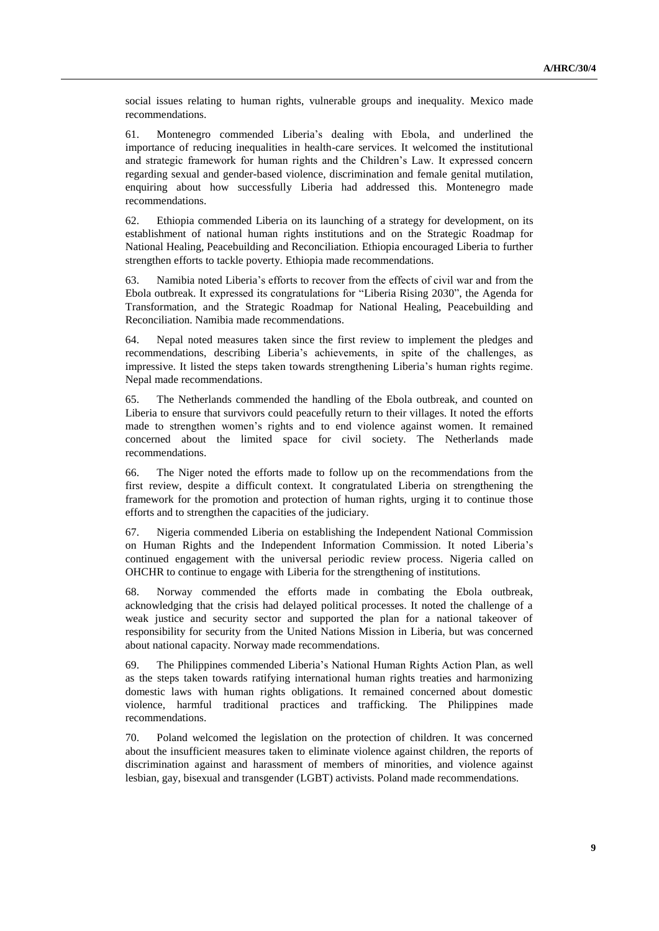social issues relating to human rights, vulnerable groups and inequality. Mexico made recommendations.

61. Montenegro commended Liberia's dealing with Ebola, and underlined the importance of reducing inequalities in health-care services. It welcomed the institutional and strategic framework for human rights and the Children's Law. It expressed concern regarding sexual and gender-based violence, discrimination and female genital mutilation, enquiring about how successfully Liberia had addressed this. Montenegro made recommendations.

62. Ethiopia commended Liberia on its launching of a strategy for development, on its establishment of national human rights institutions and on the Strategic Roadmap for National Healing, Peacebuilding and Reconciliation. Ethiopia encouraged Liberia to further strengthen efforts to tackle poverty. Ethiopia made recommendations.

63. Namibia noted Liberia's efforts to recover from the effects of civil war and from the Ebola outbreak. It expressed its congratulations for "Liberia Rising 2030", the Agenda for Transformation, and the Strategic Roadmap for National Healing, Peacebuilding and Reconciliation. Namibia made recommendations.

64. Nepal noted measures taken since the first review to implement the pledges and recommendations, describing Liberia's achievements, in spite of the challenges, as impressive. It listed the steps taken towards strengthening Liberia's human rights regime. Nepal made recommendations.

65. The Netherlands commended the handling of the Ebola outbreak, and counted on Liberia to ensure that survivors could peacefully return to their villages. It noted the efforts made to strengthen women's rights and to end violence against women. It remained concerned about the limited space for civil society. The Netherlands made recommendations.

66. The Niger noted the efforts made to follow up on the recommendations from the first review, despite a difficult context. It congratulated Liberia on strengthening the framework for the promotion and protection of human rights, urging it to continue those efforts and to strengthen the capacities of the judiciary.

67. Nigeria commended Liberia on establishing the Independent National Commission on Human Rights and the Independent Information Commission. It noted Liberia's continued engagement with the universal periodic review process. Nigeria called on OHCHR to continue to engage with Liberia for the strengthening of institutions.

68. Norway commended the efforts made in combating the Ebola outbreak, acknowledging that the crisis had delayed political processes. It noted the challenge of a weak justice and security sector and supported the plan for a national takeover of responsibility for security from the United Nations Mission in Liberia, but was concerned about national capacity. Norway made recommendations.

69. The Philippines commended Liberia's National Human Rights Action Plan, as well as the steps taken towards ratifying international human rights treaties and harmonizing domestic laws with human rights obligations. It remained concerned about domestic violence, harmful traditional practices and trafficking. The Philippines made recommendations.

70. Poland welcomed the legislation on the protection of children. It was concerned about the insufficient measures taken to eliminate violence against children, the reports of discrimination against and harassment of members of minorities, and violence against lesbian, gay, bisexual and transgender (LGBT) activists. Poland made recommendations.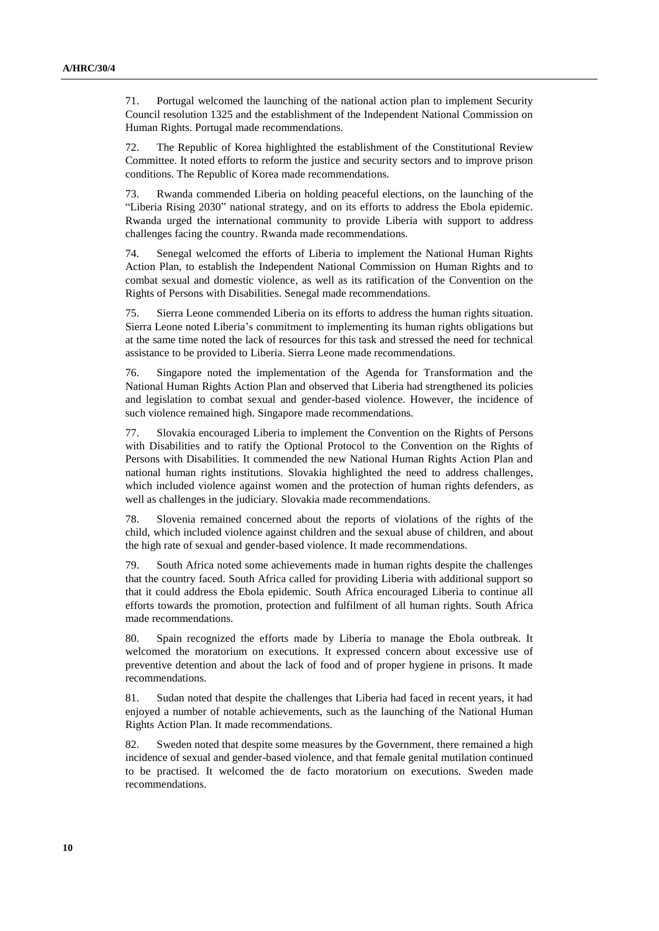71. Portugal welcomed the launching of the national action plan to implement Security Council resolution 1325 and the establishment of the Independent National Commission on Human Rights. Portugal made recommendations.

72. The Republic of Korea highlighted the establishment of the Constitutional Review Committee. It noted efforts to reform the justice and security sectors and to improve prison conditions. The Republic of Korea made recommendations.

73. Rwanda commended Liberia on holding peaceful elections, on the launching of the "Liberia Rising 2030" national strategy, and on its efforts to address the Ebola epidemic. Rwanda urged the international community to provide Liberia with support to address challenges facing the country. Rwanda made recommendations.

74. Senegal welcomed the efforts of Liberia to implement the National Human Rights Action Plan, to establish the Independent National Commission on Human Rights and to combat sexual and domestic violence, as well as its ratification of the Convention on the Rights of Persons with Disabilities. Senegal made recommendations.

75. Sierra Leone commended Liberia on its efforts to address the human rights situation. Sierra Leone noted Liberia's commitment to implementing its human rights obligations but at the same time noted the lack of resources for this task and stressed the need for technical assistance to be provided to Liberia. Sierra Leone made recommendations.

76. Singapore noted the implementation of the Agenda for Transformation and the National Human Rights Action Plan and observed that Liberia had strengthened its policies and legislation to combat sexual and gender-based violence. However, the incidence of such violence remained high. Singapore made recommendations.

77. Slovakia encouraged Liberia to implement the Convention on the Rights of Persons with Disabilities and to ratify the Optional Protocol to the Convention on the Rights of Persons with Disabilities. It commended the new National Human Rights Action Plan and national human rights institutions. Slovakia highlighted the need to address challenges, which included violence against women and the protection of human rights defenders, as well as challenges in the judiciary. Slovakia made recommendations.

78. Slovenia remained concerned about the reports of violations of the rights of the child, which included violence against children and the sexual abuse of children, and about the high rate of sexual and gender-based violence. It made recommendations.

79. South Africa noted some achievements made in human rights despite the challenges that the country faced. South Africa called for providing Liberia with additional support so that it could address the Ebola epidemic. South Africa encouraged Liberia to continue all efforts towards the promotion, protection and fulfilment of all human rights. South Africa made recommendations.

80. Spain recognized the efforts made by Liberia to manage the Ebola outbreak. It welcomed the moratorium on executions. It expressed concern about excessive use of preventive detention and about the lack of food and of proper hygiene in prisons. It made recommendations.

81. Sudan noted that despite the challenges that Liberia had faced in recent years, it had enjoyed a number of notable achievements, such as the launching of the National Human Rights Action Plan. It made recommendations.

82. Sweden noted that despite some measures by the Government, there remained a high incidence of sexual and gender-based violence, and that female genital mutilation continued to be practised. It welcomed the de facto moratorium on executions. Sweden made recommendations.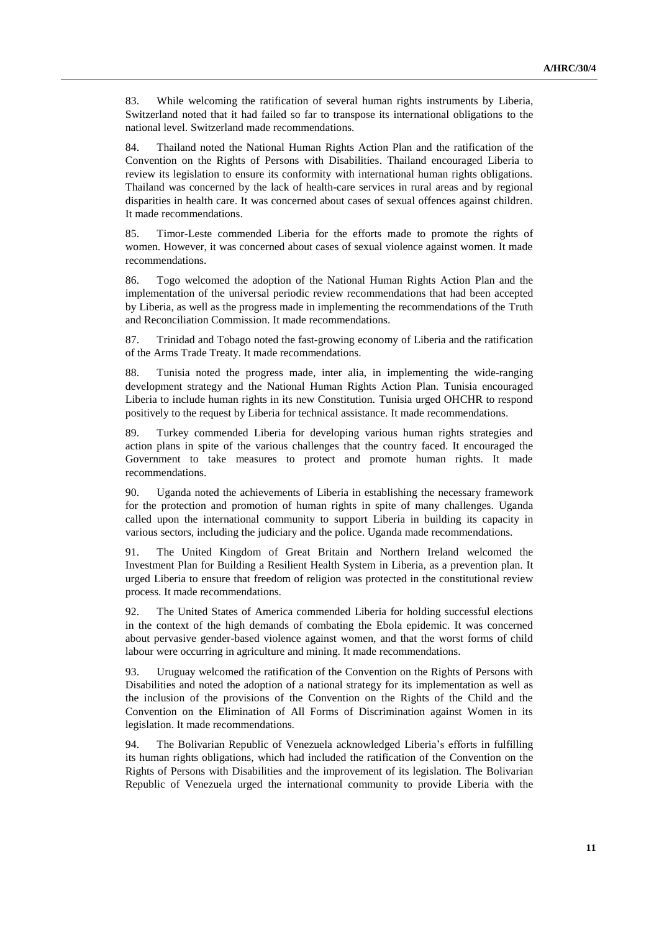83. While welcoming the ratification of several human rights instruments by Liberia, Switzerland noted that it had failed so far to transpose its international obligations to the national level. Switzerland made recommendations.

84. Thailand noted the National Human Rights Action Plan and the ratification of the Convention on the Rights of Persons with Disabilities. Thailand encouraged Liberia to review its legislation to ensure its conformity with international human rights obligations. Thailand was concerned by the lack of health-care services in rural areas and by regional disparities in health care. It was concerned about cases of sexual offences against children. It made recommendations.

85. Timor-Leste commended Liberia for the efforts made to promote the rights of women. However, it was concerned about cases of sexual violence against women. It made recommendations.

86. Togo welcomed the adoption of the National Human Rights Action Plan and the implementation of the universal periodic review recommendations that had been accepted by Liberia, as well as the progress made in implementing the recommendations of the Truth and Reconciliation Commission. It made recommendations.

87. Trinidad and Tobago noted the fast-growing economy of Liberia and the ratification of the Arms Trade Treaty. It made recommendations.

88. Tunisia noted the progress made, inter alia, in implementing the wide-ranging development strategy and the National Human Rights Action Plan. Tunisia encouraged Liberia to include human rights in its new Constitution. Tunisia urged OHCHR to respond positively to the request by Liberia for technical assistance. It made recommendations.

89. Turkey commended Liberia for developing various human rights strategies and action plans in spite of the various challenges that the country faced. It encouraged the Government to take measures to protect and promote human rights. It made recommendations.

90. Uganda noted the achievements of Liberia in establishing the necessary framework for the protection and promotion of human rights in spite of many challenges. Uganda called upon the international community to support Liberia in building its capacity in various sectors, including the judiciary and the police. Uganda made recommendations.

91. The United Kingdom of Great Britain and Northern Ireland welcomed the Investment Plan for Building a Resilient Health System in Liberia, as a prevention plan. It urged Liberia to ensure that freedom of religion was protected in the constitutional review process. It made recommendations.

92. The United States of America commended Liberia for holding successful elections in the context of the high demands of combating the Ebola epidemic. It was concerned about pervasive gender-based violence against women, and that the worst forms of child labour were occurring in agriculture and mining. It made recommendations.

93. Uruguay welcomed the ratification of the Convention on the Rights of Persons with Disabilities and noted the adoption of a national strategy for its implementation as well as the inclusion of the provisions of the Convention on the Rights of the Child and the Convention on the Elimination of All Forms of Discrimination against Women in its legislation. It made recommendations.

94. The Bolivarian Republic of Venezuela acknowledged Liberia's efforts in fulfilling its human rights obligations, which had included the ratification of the Convention on the Rights of Persons with Disabilities and the improvement of its legislation. The Bolivarian Republic of Venezuela urged the international community to provide Liberia with the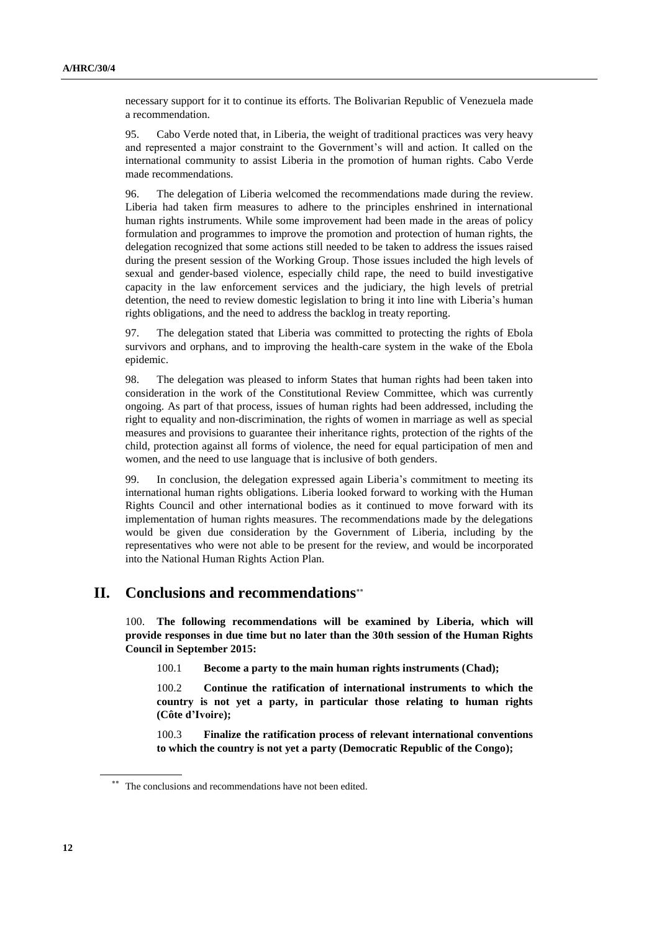necessary support for it to continue its efforts. The Bolivarian Republic of Venezuela made a recommendation.

95. Cabo Verde noted that, in Liberia, the weight of traditional practices was very heavy and represented a major constraint to the Government's will and action. It called on the international community to assist Liberia in the promotion of human rights. Cabo Verde made recommendations.

96. The delegation of Liberia welcomed the recommendations made during the review. Liberia had taken firm measures to adhere to the principles enshrined in international human rights instruments. While some improvement had been made in the areas of policy formulation and programmes to improve the promotion and protection of human rights, the delegation recognized that some actions still needed to be taken to address the issues raised during the present session of the Working Group. Those issues included the high levels of sexual and gender-based violence, especially child rape, the need to build investigative capacity in the law enforcement services and the judiciary, the high levels of pretrial detention, the need to review domestic legislation to bring it into line with Liberia's human rights obligations, and the need to address the backlog in treaty reporting.

97. The delegation stated that Liberia was committed to protecting the rights of Ebola survivors and orphans, and to improving the health-care system in the wake of the Ebola epidemic.

98. The delegation was pleased to inform States that human rights had been taken into consideration in the work of the Constitutional Review Committee, which was currently ongoing. As part of that process, issues of human rights had been addressed, including the right to equality and non-discrimination, the rights of women in marriage as well as special measures and provisions to guarantee their inheritance rights, protection of the rights of the child, protection against all forms of violence, the need for equal participation of men and women, and the need to use language that is inclusive of both genders.

99. In conclusion, the delegation expressed again Liberia's commitment to meeting its international human rights obligations. Liberia looked forward to working with the Human Rights Council and other international bodies as it continued to move forward with its implementation of human rights measures. The recommendations made by the delegations would be given due consideration by the Government of Liberia, including by the representatives who were not able to be present for the review, and would be incorporated into the National Human Rights Action Plan.

### **II. Conclusions and recommendations**

100. **The following recommendations will be examined by Liberia, which will provide responses in due time but no later than the 30th session of the Human Rights Council in September 2015:**

100.1 **Become a party to the main human rights instruments (Chad);**

100.2 **Continue the ratification of international instruments to which the country is not yet a party, in particular those relating to human rights (Côte d'Ivoire);**

100.3 **Finalize the ratification process of relevant international conventions to which the country is not yet a party (Democratic Republic of the Congo);**

<sup>\*\*</sup> The conclusions and recommendations have not been edited.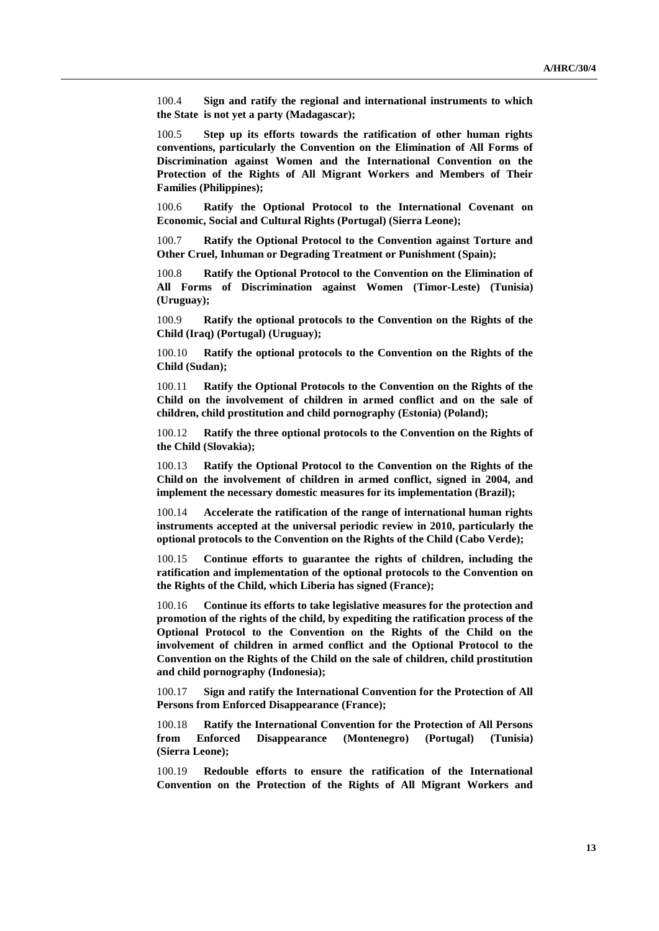100.4 **Sign and ratify the regional and international instruments to which the State is not yet a party (Madagascar);**

100.5 **Step up its efforts towards the ratification of other human rights conventions, particularly the Convention on the Elimination of All Forms of Discrimination against Women and the International Convention on the Protection of the Rights of All Migrant Workers and Members of Their Families (Philippines);**

100.6 **Ratify the Optional Protocol to the International Covenant on Economic, Social and Cultural Rights (Portugal) (Sierra Leone);**

100.7 **Ratify the Optional Protocol to the Convention against Torture and Other Cruel, Inhuman or Degrading Treatment or Punishment (Spain);**

100.8 **Ratify the Optional Protocol to the Convention on the Elimination of All Forms of Discrimination against Women (Timor-Leste) (Tunisia) (Uruguay);**

100.9 **Ratify the optional protocols to the Convention on the Rights of the Child (Iraq) (Portugal) (Uruguay);** 

100.10 **Ratify the optional protocols to the Convention on the Rights of the Child (Sudan);**

100.11 **Ratify the Optional Protocols to the Convention on the Rights of the Child on the involvement of children in armed conflict and on the sale of children, child prostitution and child pornography (Estonia) (Poland);**

100.12 **Ratify the three optional protocols to the Convention on the Rights of the Child (Slovakia);**

100.13 **Ratify the Optional Protocol to the Convention on the Rights of the Child on the involvement of children in armed conflict, signed in 2004, and implement the necessary domestic measures for its implementation (Brazil);**

100.14 **Accelerate the ratification of the range of international human rights instruments accepted at the universal periodic review in 2010, particularly the optional protocols to the Convention on the Rights of the Child (Cabo Verde);**

100.15 **Continue efforts to guarantee the rights of children, including the ratification and implementation of the optional protocols to the Convention on the Rights of the Child, which Liberia has signed (France);**

100.16 **Continue its efforts to take legislative measures for the protection and promotion of the rights of the child, by expediting the ratification process of the Optional Protocol to the Convention on the Rights of the Child on the involvement of children in armed conflict and the Optional Protocol to the Convention on the Rights of the Child on the sale of children, child prostitution and child pornography (Indonesia);**

100.17 **Sign and ratify the International Convention for the Protection of All Persons from Enforced Disappearance (France);** 

100.18 **Ratify the International Convention for the Protection of All Persons from Enforced Disappearance (Montenegro) (Portugal) (Tunisia) (Sierra Leone);**

100.19 **Redouble efforts to ensure the ratification of the International Convention on the Protection of the Rights of All Migrant Workers and**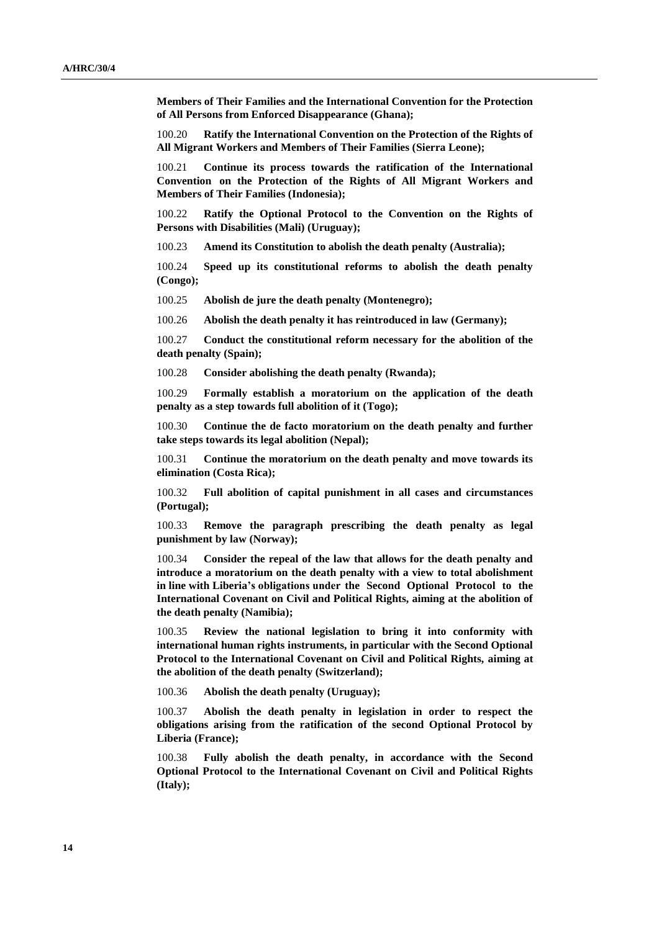**Members of Their Families and the International Convention for the Protection of All Persons from Enforced Disappearance (Ghana);**

100.20 **Ratify the International Convention on the Protection of the Rights of All Migrant Workers and Members of Their Families (Sierra Leone);**

100.21 **Continue its process towards the ratification of the International Convention on the Protection of the Rights of All Migrant Workers and Members of Their Families (Indonesia);**

100.22 **Ratify the Optional Protocol to the Convention on the Rights of Persons with Disabilities (Mali) (Uruguay);**

100.23 **Amend its Constitution to abolish the death penalty (Australia);**

100.24 **Speed up its constitutional reforms to abolish the death penalty (Congo);**

100.25 **Abolish de jure the death penalty (Montenegro);**

100.26 **Abolish the death penalty it has reintroduced in law (Germany);**

100.27 **Conduct the constitutional reform necessary for the abolition of the death penalty (Spain);** 

100.28 **Consider abolishing the death penalty (Rwanda);**

100.29 **Formally establish a moratorium on the application of the death penalty as a step towards full abolition of it (Togo);**

100.30 **Continue the de facto moratorium on the death penalty and further take steps towards its legal abolition (Nepal);**

100.31 **Continue the moratorium on the death penalty and move towards its elimination (Costa Rica);**

100.32 **Full abolition of capital punishment in all cases and circumstances (Portugal);**

100.33 **Remove the paragraph prescribing the death penalty as legal punishment by law (Norway);**

100.34 **Consider the repeal of the law that allows for the death penalty and introduce a moratorium on the death penalty with a view to total abolishment in line with Liberia's obligations under the Second Optional Protocol to the International Covenant on Civil and Political Rights, aiming at the abolition of the death penalty (Namibia);**

100.35 **Review the national legislation to bring it into conformity with international human rights instruments, in particular with the Second Optional Protocol to the International Covenant on Civil and Political Rights, aiming at the abolition of the death penalty (Switzerland);**

100.36 **Abolish the death penalty (Uruguay);**

100.37 **Abolish the death penalty in legislation in order to respect the obligations arising from the ratification of the second Optional Protocol by Liberia (France);**

100.38 **Fully abolish the death penalty, in accordance with the Second Optional Protocol to the International Covenant on Civil and Political Rights (Italy);**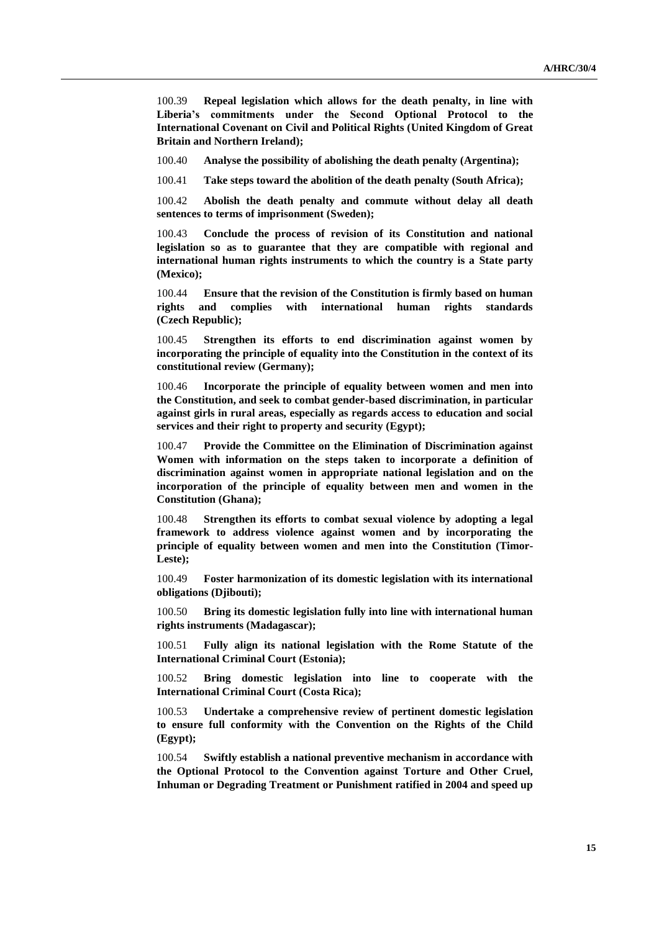100.39 **Repeal legislation which allows for the death penalty, in line with Liberia's commitments under the Second Optional Protocol to the International Covenant on Civil and Political Rights (United Kingdom of Great Britain and Northern Ireland);**

100.40 **Analyse the possibility of abolishing the death penalty (Argentina);**

100.41 **Take steps toward the abolition of the death penalty (South Africa);**

100.42 **Abolish the death penalty and commute without delay all death sentences to terms of imprisonment (Sweden);**

100.43 **Conclude the process of revision of its Constitution and national legislation so as to guarantee that they are compatible with regional and international human rights instruments to which the country is a State party (Mexico);**

100.44 **Ensure that the revision of the Constitution is firmly based on human rights and complies with international human rights standards (Czech Republic);**

100.45 **Strengthen its efforts to end discrimination against women by incorporating the principle of equality into the Constitution in the context of its constitutional review (Germany);**

100.46 **Incorporate the principle of equality between women and men into the Constitution, and seek to combat gender-based discrimination, in particular against girls in rural areas, especially as regards access to education and social services and their right to property and security (Egypt);**

100.47 **Provide the Committee on the Elimination of Discrimination against Women with information on the steps taken to incorporate a definition of discrimination against women in appropriate national legislation and on the incorporation of the principle of equality between men and women in the Constitution (Ghana);**

100.48 **Strengthen its efforts to combat sexual violence by adopting a legal framework to address violence against women and by incorporating the principle of equality between women and men into the Constitution (Timor-Leste);**

100.49 **Foster harmonization of its domestic legislation with its international obligations (Djibouti);**

100.50 **Bring its domestic legislation fully into line with international human rights instruments (Madagascar);**

100.51 **Fully align its national legislation with the Rome Statute of the International Criminal Court (Estonia);**

100.52 **Bring domestic legislation into line to cooperate with the International Criminal Court (Costa Rica);**

100.53 **Undertake a comprehensive review of pertinent domestic legislation to ensure full conformity with the Convention on the Rights of the Child (Egypt);**

100.54 **Swiftly establish a national preventive mechanism in accordance with the Optional Protocol to the Convention against Torture and Other Cruel, Inhuman or Degrading Treatment or Punishment ratified in 2004 and speed up**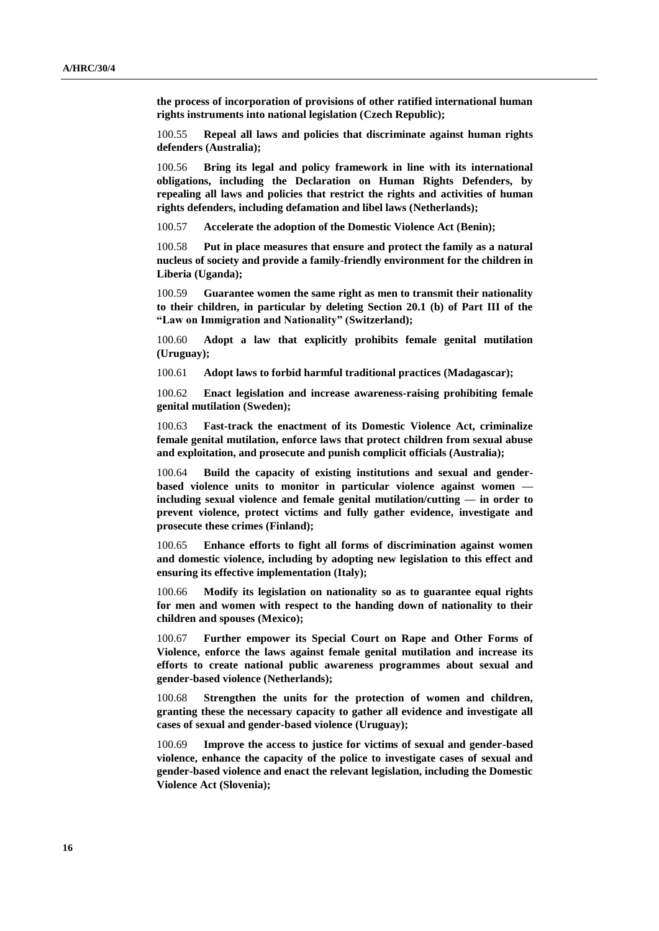**the process of incorporation of provisions of other ratified international human rights instruments into national legislation (Czech Republic);**

100.55 **Repeal all laws and policies that discriminate against human rights defenders (Australia);**

100.56 **Bring its legal and policy framework in line with its international obligations, including the Declaration on Human Rights Defenders, by repealing all laws and policies that restrict the rights and activities of human rights defenders, including defamation and libel laws (Netherlands);**

100.57 **Accelerate the adoption of the Domestic Violence Act (Benin);**

100.58 **Put in place measures that ensure and protect the family as a natural nucleus of society and provide a family-friendly environment for the children in Liberia (Uganda);**

100.59 **Guarantee women the same right as men to transmit their nationality to their children, in particular by deleting Section 20.1 (b) of Part III of the "Law on Immigration and Nationality" (Switzerland);**

100.60 **Adopt a law that explicitly prohibits female genital mutilation (Uruguay);**

100.61 **Adopt laws to forbid harmful traditional practices (Madagascar);**

100.62 **Enact legislation and increase awareness-raising prohibiting female genital mutilation (Sweden);**

100.63 **Fast-track the enactment of its Domestic Violence Act, criminalize female genital mutilation, enforce laws that protect children from sexual abuse and exploitation, and prosecute and punish complicit officials (Australia);**

100.64 **Build the capacity of existing institutions and sexual and genderbased violence units to monitor in particular violence against women including sexual violence and female genital mutilation/cutting — in order to prevent violence, protect victims and fully gather evidence, investigate and prosecute these crimes (Finland);**

100.65 **Enhance efforts to fight all forms of discrimination against women and domestic violence, including by adopting new legislation to this effect and ensuring its effective implementation (Italy);**

100.66 **Modify its legislation on nationality so as to guarantee equal rights for men and women with respect to the handing down of nationality to their children and spouses (Mexico);**

100.67 **Further empower its Special Court on Rape and Other Forms of Violence, enforce the laws against female genital mutilation and increase its efforts to create national public awareness programmes about sexual and gender-based violence (Netherlands);**

100.68 **Strengthen the units for the protection of women and children, granting these the necessary capacity to gather all evidence and investigate all cases of sexual and gender-based violence (Uruguay);**

100.69 **Improve the access to justice for victims of sexual and gender-based violence, enhance the capacity of the police to investigate cases of sexual and gender-based violence and enact the relevant legislation, including the Domestic Violence Act (Slovenia);**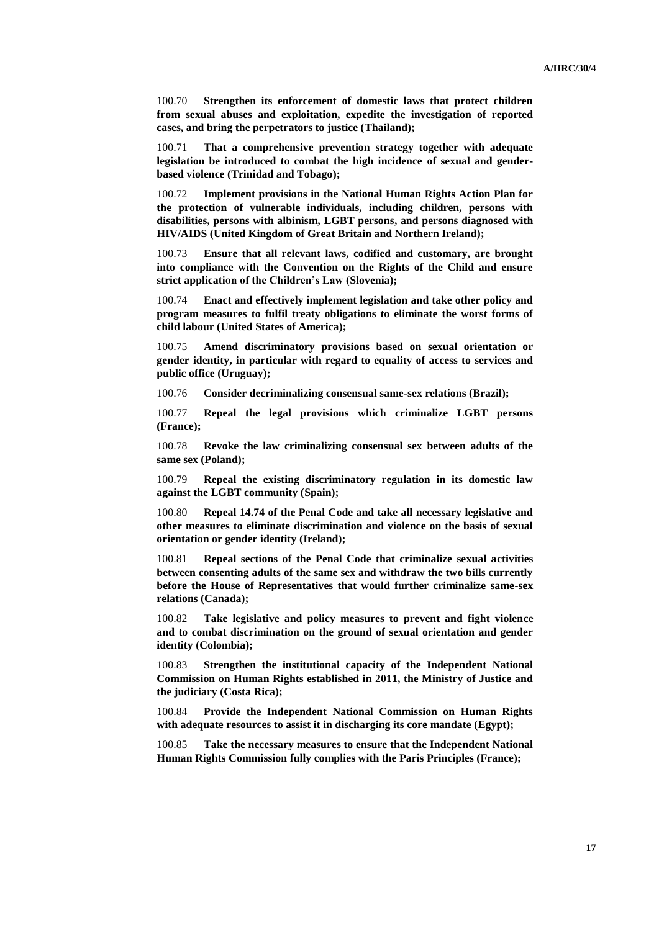100.70 **Strengthen its enforcement of domestic laws that protect children from sexual abuses and exploitation, expedite the investigation of reported cases, and bring the perpetrators to justice (Thailand);**

100.71 **That a comprehensive prevention strategy together with adequate legislation be introduced to combat the high incidence of sexual and genderbased violence (Trinidad and Tobago);**

100.72 **Implement provisions in the National Human Rights Action Plan for the protection of vulnerable individuals, including children, persons with disabilities, persons with albinism, LGBT persons, and persons diagnosed with HIV/AIDS (United Kingdom of Great Britain and Northern Ireland);**

100.73 **Ensure that all relevant laws, codified and customary, are brought into compliance with the Convention on the Rights of the Child and ensure strict application of the Children's Law (Slovenia);**

100.74 **Enact and effectively implement legislation and take other policy and program measures to fulfil treaty obligations to eliminate the worst forms of child labour (United States of America);**

100.75 **Amend discriminatory provisions based on sexual orientation or gender identity, in particular with regard to equality of access to services and public office (Uruguay);**

100.76 **Consider decriminalizing consensual same-sex relations (Brazil);**

100.77 **Repeal the legal provisions which criminalize LGBT persons (France);**

100.78 **Revoke the law criminalizing consensual sex between adults of the same sex (Poland);**

100.79 **Repeal the existing discriminatory regulation in its domestic law against the LGBT community (Spain);**

100.80 **Repeal 14.74 of the Penal Code and take all necessary legislative and other measures to eliminate discrimination and violence on the basis of sexual orientation or gender identity (Ireland);**

100.81 **Repeal sections of the Penal Code that criminalize sexual activities between consenting adults of the same sex and withdraw the two bills currently before the House of Representatives that would further criminalize same-sex relations (Canada);**

100.82 **Take legislative and policy measures to prevent and fight violence and to combat discrimination on the ground of sexual orientation and gender identity (Colombia);**

100.83 **Strengthen the institutional capacity of the Independent National Commission on Human Rights established in 2011, the Ministry of Justice and the judiciary (Costa Rica);** 

100.84 **Provide the Independent National Commission on Human Rights with adequate resources to assist it in discharging its core mandate (Egypt);**

100.85 **Take the necessary measures to ensure that the Independent National Human Rights Commission fully complies with the Paris Principles (France);**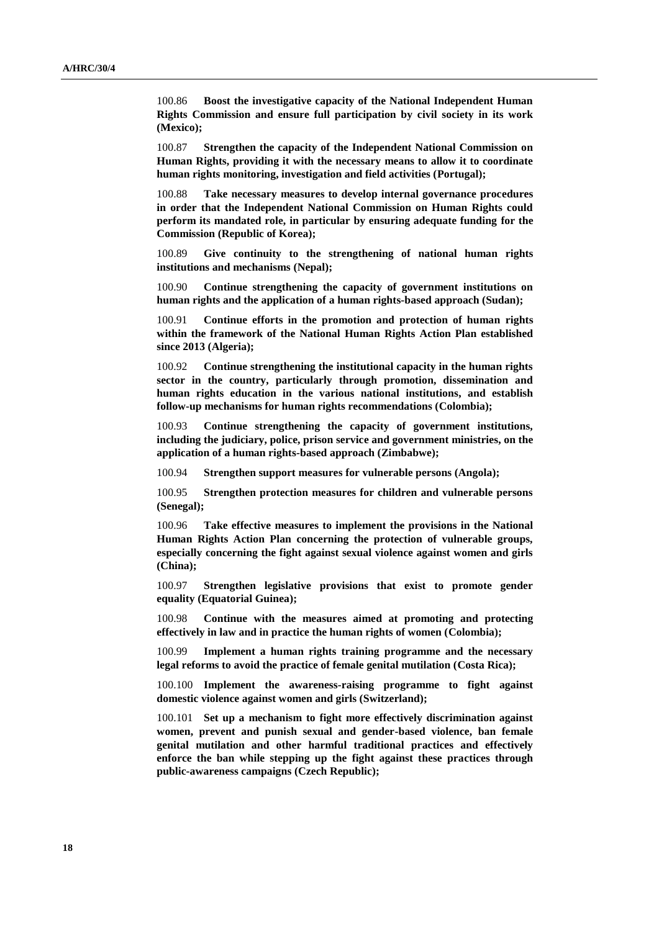100.86 **Boost the investigative capacity of the National Independent Human Rights Commission and ensure full participation by civil society in its work (Mexico);**

100.87 **Strengthen the capacity of the Independent National Commission on Human Rights, providing it with the necessary means to allow it to coordinate human rights monitoring, investigation and field activities (Portugal);**

100.88 **Take necessary measures to develop internal governance procedures in order that the Independent National Commission on Human Rights could perform its mandated role, in particular by ensuring adequate funding for the Commission (Republic of Korea);**

100.89 **Give continuity to the strengthening of national human rights institutions and mechanisms (Nepal);**

100.90 **Continue strengthening the capacity of government institutions on human rights and the application of a human rights-based approach (Sudan);**

100.91 **Continue efforts in the promotion and protection of human rights within the framework of the National Human Rights Action Plan established since 2013 (Algeria);**

100.92 **Continue strengthening the institutional capacity in the human rights sector in the country, particularly through promotion, dissemination and human rights education in the various national institutions, and establish follow-up mechanisms for human rights recommendations (Colombia);**

100.93 **Continue strengthening the capacity of government institutions, including the judiciary, police, prison service and government ministries, on the application of a human rights-based approach (Zimbabwe);**

100.94 **Strengthen support measures for vulnerable persons (Angola);**

100.95 **Strengthen protection measures for children and vulnerable persons (Senegal);**

100.96 **Take effective measures to implement the provisions in the National Human Rights Action Plan concerning the protection of vulnerable groups, especially concerning the fight against sexual violence against women and girls (China);**

100.97 **Strengthen legislative provisions that exist to promote gender equality (Equatorial Guinea);**

100.98 **Continue with the measures aimed at promoting and protecting effectively in law and in practice the human rights of women (Colombia);**

100.99 **Implement a human rights training programme and the necessary legal reforms to avoid the practice of female genital mutilation (Costa Rica);**

100.100 **Implement the awareness-raising programme to fight against domestic violence against women and girls (Switzerland);**

100.101 **Set up a mechanism to fight more effectively discrimination against women, prevent and punish sexual and gender-based violence, ban female genital mutilation and other harmful traditional practices and effectively enforce the ban while stepping up the fight against these practices through public-awareness campaigns (Czech Republic);**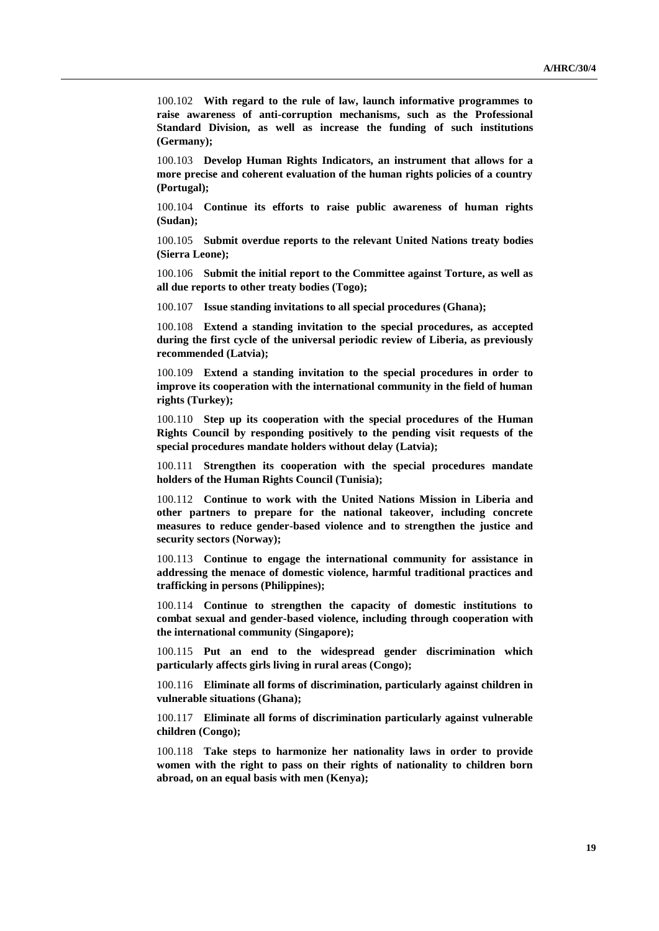100.102 **With regard to the rule of law, launch informative programmes to raise awareness of anti-corruption mechanisms, such as the Professional Standard Division, as well as increase the funding of such institutions (Germany);**

100.103 **Develop Human Rights Indicators, an instrument that allows for a more precise and coherent evaluation of the human rights policies of a country (Portugal);**

100.104 **Continue its efforts to raise public awareness of human rights (Sudan);**

100.105 **Submit overdue reports to the relevant United Nations treaty bodies (Sierra Leone);**

100.106 **Submit the initial report to the Committee against Torture, as well as all due reports to other treaty bodies (Togo);**

100.107 **Issue standing invitations to all special procedures (Ghana);**

100.108 **Extend a standing invitation to the special procedures, as accepted during the first cycle of the universal periodic review of Liberia, as previously recommended (Latvia);**

100.109 **Extend a standing invitation to the special procedures in order to improve its cooperation with the international community in the field of human rights (Turkey);**

100.110 **Step up its cooperation with the special procedures of the Human Rights Council by responding positively to the pending visit requests of the special procedures mandate holders without delay (Latvia);**

100.111 **Strengthen its cooperation with the special procedures mandate holders of the Human Rights Council (Tunisia);**

100.112 **Continue to work with the United Nations Mission in Liberia and other partners to prepare for the national takeover, including concrete measures to reduce gender-based violence and to strengthen the justice and security sectors (Norway);**

100.113 **Continue to engage the international community for assistance in addressing the menace of domestic violence, harmful traditional practices and trafficking in persons (Philippines);**

100.114 **Continue to strengthen the capacity of domestic institutions to combat sexual and gender-based violence, including through cooperation with the international community (Singapore);**

100.115 **Put an end to the widespread gender discrimination which particularly affects girls living in rural areas (Congo);**

100.116 **Eliminate all forms of discrimination, particularly against children in vulnerable situations (Ghana);**

100.117 **Eliminate all forms of discrimination particularly against vulnerable children (Congo);**

100.118 **Take steps to harmonize her nationality laws in order to provide women with the right to pass on their rights of nationality to children born abroad, on an equal basis with men (Kenya);**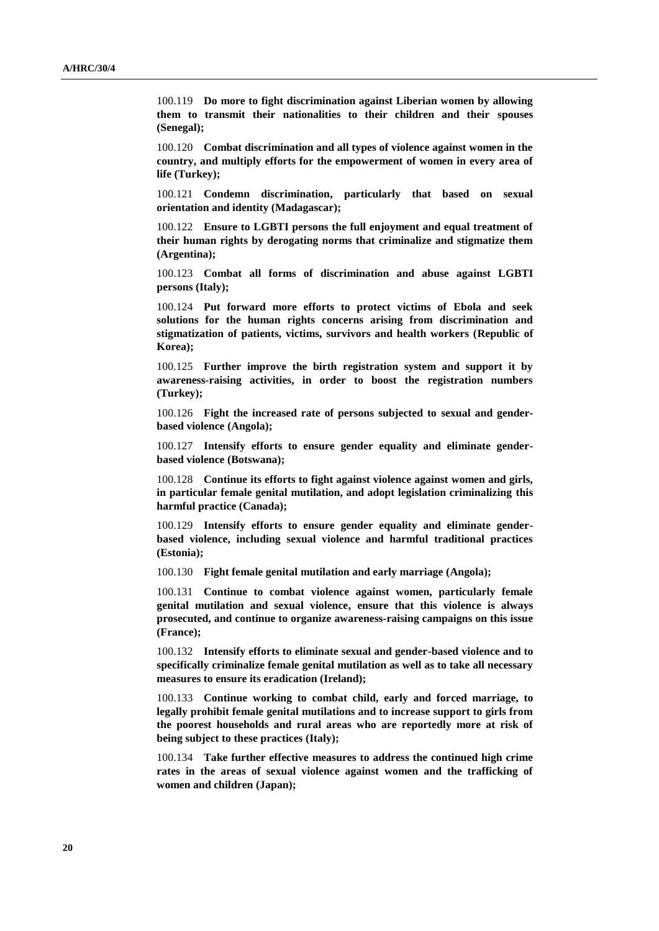100.119 **Do more to fight discrimination against Liberian women by allowing them to transmit their nationalities to their children and their spouses (Senegal);**

100.120 **Combat discrimination and all types of violence against women in the country, and multiply efforts for the empowerment of women in every area of life (Turkey);**

100.121 **Condemn discrimination, particularly that based on sexual orientation and identity (Madagascar);**

100.122 **Ensure to LGBTI persons the full enjoyment and equal treatment of their human rights by derogating norms that criminalize and stigmatize them (Argentina);**

100.123 **Combat all forms of discrimination and abuse against LGBTI persons (Italy);**

100.124 **Put forward more efforts to protect victims of Ebola and seek solutions for the human rights concerns arising from discrimination and stigmatization of patients, victims, survivors and health workers (Republic of Korea);**

100.125 **Further improve the birth registration system and support it by awareness-raising activities, in order to boost the registration numbers (Turkey);**

100.126 **Fight the increased rate of persons subjected to sexual and genderbased violence (Angola);**

100.127 **Intensify efforts to ensure gender equality and eliminate genderbased violence (Botswana);**

100.128 **Continue its efforts to fight against violence against women and girls, in particular female genital mutilation, and adopt legislation criminalizing this harmful practice (Canada);**

100.129 **Intensify efforts to ensure gender equality and eliminate genderbased violence, including sexual violence and harmful traditional practices (Estonia);**

100.130 **Fight female genital mutilation and early marriage (Angola);**

100.131 **Continue to combat violence against women, particularly female genital mutilation and sexual violence, ensure that this violence is always prosecuted, and continue to organize awareness-raising campaigns on this issue (France);**

100.132 **Intensify efforts to eliminate sexual and gender-based violence and to specifically criminalize female genital mutilation as well as to take all necessary measures to ensure its eradication (Ireland);**

100.133 **Continue working to combat child, early and forced marriage, to legally prohibit female genital mutilations and to increase support to girls from the poorest households and rural areas who are reportedly more at risk of being subject to these practices (Italy);**

100.134 **Take further effective measures to address the continued high crime rates in the areas of sexual violence against women and the trafficking of women and children (Japan);**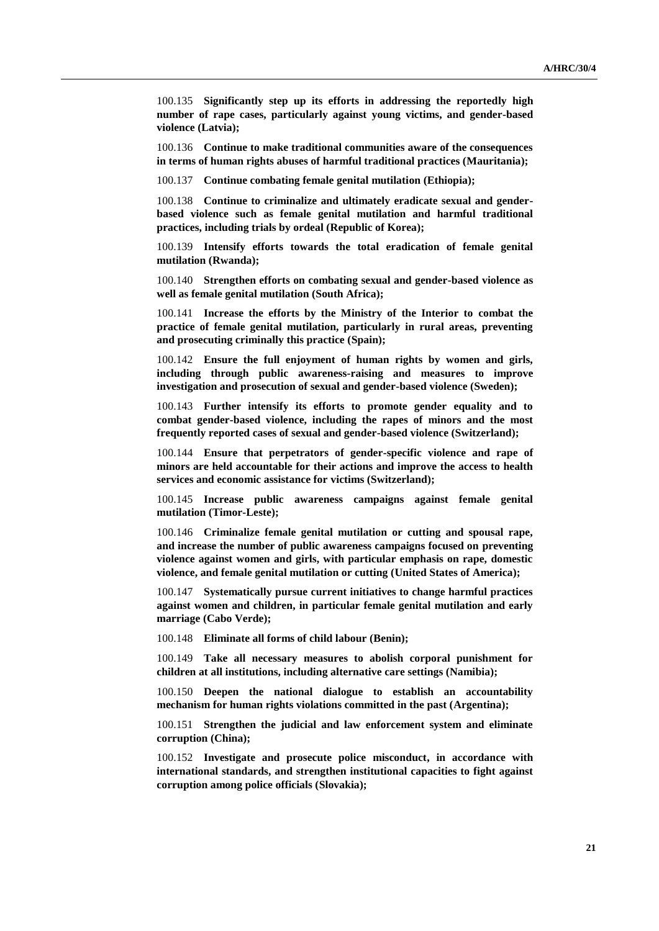100.135 **Significantly step up its efforts in addressing the reportedly high number of rape cases, particularly against young victims, and gender-based violence (Latvia);**

100.136 **Continue to make traditional communities aware of the consequences in terms of human rights abuses of harmful traditional practices (Mauritania);**

100.137 **Continue combating female genital mutilation (Ethiopia);**

100.138 **Continue to criminalize and ultimately eradicate sexual and genderbased violence such as female genital mutilation and harmful traditional practices, including trials by ordeal (Republic of Korea);**

100.139 **Intensify efforts towards the total eradication of female genital mutilation (Rwanda);**

100.140 **Strengthen efforts on combating sexual and gender-based violence as well as female genital mutilation (South Africa);**

100.141 **Increase the efforts by the Ministry of the Interior to combat the practice of female genital mutilation, particularly in rural areas, preventing and prosecuting criminally this practice (Spain);**

100.142 **Ensure the full enjoyment of human rights by women and girls, including through public awareness-raising and measures to improve investigation and prosecution of sexual and gender-based violence (Sweden);**

100.143 **Further intensify its efforts to promote gender equality and to combat gender-based violence, including the rapes of minors and the most frequently reported cases of sexual and gender-based violence (Switzerland);**

100.144 **Ensure that perpetrators of gender-specific violence and rape of minors are held accountable for their actions and improve the access to health services and economic assistance for victims (Switzerland);**

100.145 **Increase public awareness campaigns against female genital mutilation (Timor-Leste);**

100.146 **Criminalize female genital mutilation or cutting and spousal rape, and increase the number of public awareness campaigns focused on preventing violence against women and girls, with particular emphasis on rape, domestic violence, and female genital mutilation or cutting (United States of America);**

100.147 **Systematically pursue current initiatives to change harmful practices against women and children, in particular female genital mutilation and early marriage (Cabo Verde);**

100.148 **Eliminate all forms of child labour (Benin);**

100.149 **Take all necessary measures to abolish corporal punishment for children at all institutions, including alternative care settings (Namibia);**

100.150 **Deepen the national dialogue to establish an accountability mechanism for human rights violations committed in the past (Argentina);**

100.151 **Strengthen the judicial and law enforcement system and eliminate corruption (China);**

100.152 **Investigate and prosecute police misconduct, in accordance with international standards, and strengthen institutional capacities to fight against corruption among police officials (Slovakia);**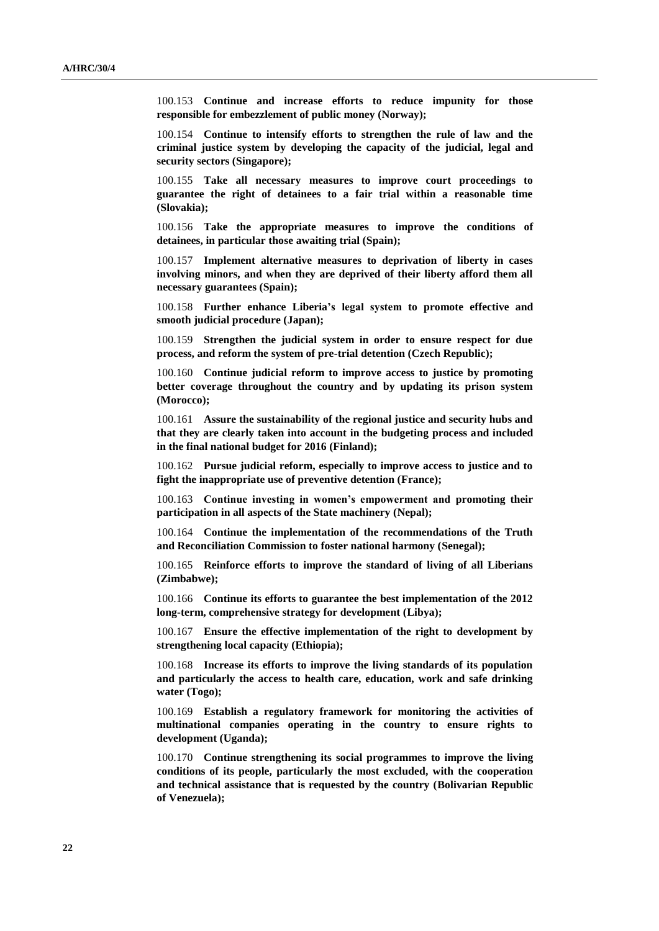100.153 **Continue and increase efforts to reduce impunity for those responsible for embezzlement of public money (Norway);**

100.154 **Continue to intensify efforts to strengthen the rule of law and the criminal justice system by developing the capacity of the judicial, legal and security sectors (Singapore);**

100.155 **Take all necessary measures to improve court proceedings to guarantee the right of detainees to a fair trial within a reasonable time (Slovakia);**

100.156 **Take the appropriate measures to improve the conditions of detainees, in particular those awaiting trial (Spain);**

100.157 **Implement alternative measures to deprivation of liberty in cases involving minors, and when they are deprived of their liberty afford them all necessary guarantees (Spain);**

100.158 **Further enhance Liberia's legal system to promote effective and smooth judicial procedure (Japan);**

100.159 **Strengthen the judicial system in order to ensure respect for due process, and reform the system of pre-trial detention (Czech Republic);**

100.160 **Continue judicial reform to improve access to justice by promoting better coverage throughout the country and by updating its prison system (Morocco);**

100.161 **Assure the sustainability of the regional justice and security hubs and that they are clearly taken into account in the budgeting process and included in the final national budget for 2016 (Finland);**

100.162 **Pursue judicial reform, especially to improve access to justice and to fight the inappropriate use of preventive detention (France);**

100.163 **Continue investing in women's empowerment and promoting their participation in all aspects of the State machinery (Nepal);**

100.164 **Continue the implementation of the recommendations of the Truth and Reconciliation Commission to foster national harmony (Senegal);**

100.165 **Reinforce efforts to improve the standard of living of all Liberians (Zimbabwe);**

100.166 **Continue its efforts to guarantee the best implementation of the 2012 long-term, comprehensive strategy for development (Libya);**

100.167 **Ensure the effective implementation of the right to development by strengthening local capacity (Ethiopia);**

100.168 **Increase its efforts to improve the living standards of its population and particularly the access to health care, education, work and safe drinking water (Togo);**

100.169 **Establish a regulatory framework for monitoring the activities of multinational companies operating in the country to ensure rights to development (Uganda);**

100.170 **Continue strengthening its social programmes to improve the living conditions of its people, particularly the most excluded, with the cooperation and technical assistance that is requested by the country (Bolivarian Republic of Venezuela);**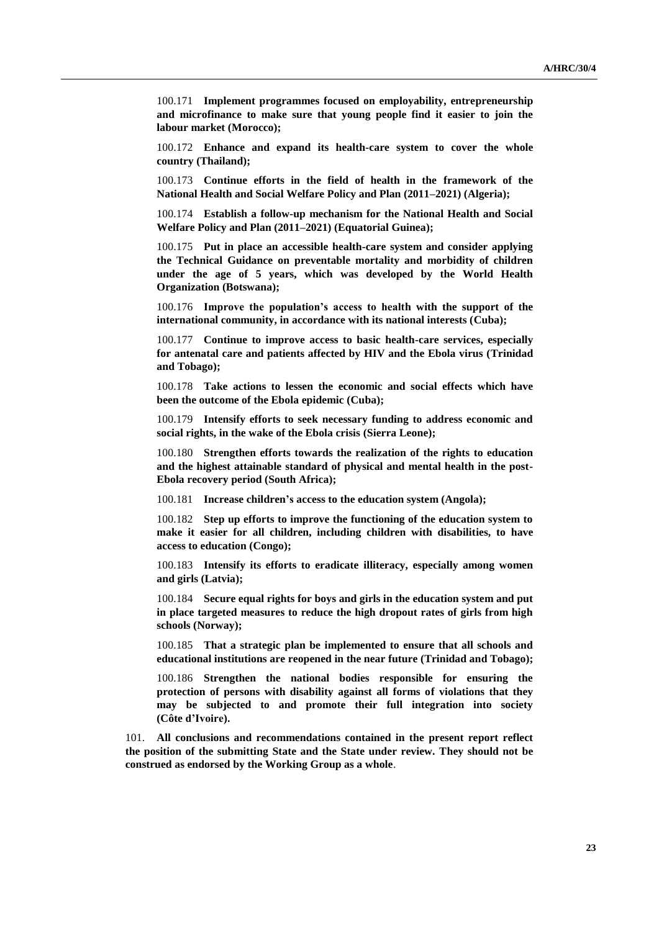100.171 **Implement programmes focused on employability, entrepreneurship and microfinance to make sure that young people find it easier to join the labour market (Morocco);**

100.172 **Enhance and expand its health-care system to cover the whole country (Thailand);**

100.173 **Continue efforts in the field of health in the framework of the National Health and Social Welfare Policy and Plan (2011–2021) (Algeria);**

100.174 **Establish a follow-up mechanism for the National Health and Social Welfare Policy and Plan (2011–2021) (Equatorial Guinea);**

100.175 **Put in place an accessible health-care system and consider applying the Technical Guidance on preventable mortality and morbidity of children under the age of 5 years, which was developed by the World Health Organization (Botswana);**

100.176 **Improve the population's access to health with the support of the international community, in accordance with its national interests (Cuba);**

100.177 **Continue to improve access to basic health-care services, especially for antenatal care and patients affected by HIV and the Ebola virus (Trinidad and Tobago);**

100.178 **Take actions to lessen the economic and social effects which have been the outcome of the Ebola epidemic (Cuba);**

100.179 **Intensify efforts to seek necessary funding to address economic and social rights, in the wake of the Ebola crisis (Sierra Leone);**

100.180 **Strengthen efforts towards the realization of the rights to education and the highest attainable standard of physical and mental health in the post-Ebola recovery period (South Africa);**

100.181 **Increase children's access to the education system (Angola);**

100.182 **Step up efforts to improve the functioning of the education system to make it easier for all children, including children with disabilities, to have access to education (Congo);**

100.183 **Intensify its efforts to eradicate illiteracy, especially among women and girls (Latvia);**

100.184 **Secure equal rights for boys and girls in the education system and put in place targeted measures to reduce the high dropout rates of girls from high schools (Norway);**

100.185 **That a strategic plan be implemented to ensure that all schools and educational institutions are reopened in the near future (Trinidad and Tobago);**

100.186 **Strengthen the national bodies responsible for ensuring the protection of persons with disability against all forms of violations that they may be subjected to and promote their full integration into society (Côte d'Ivoire).**

101. **All conclusions and recommendations contained in the present report reflect the position of the submitting State and the State under review. They should not be construed as endorsed by the Working Group as a whole**.